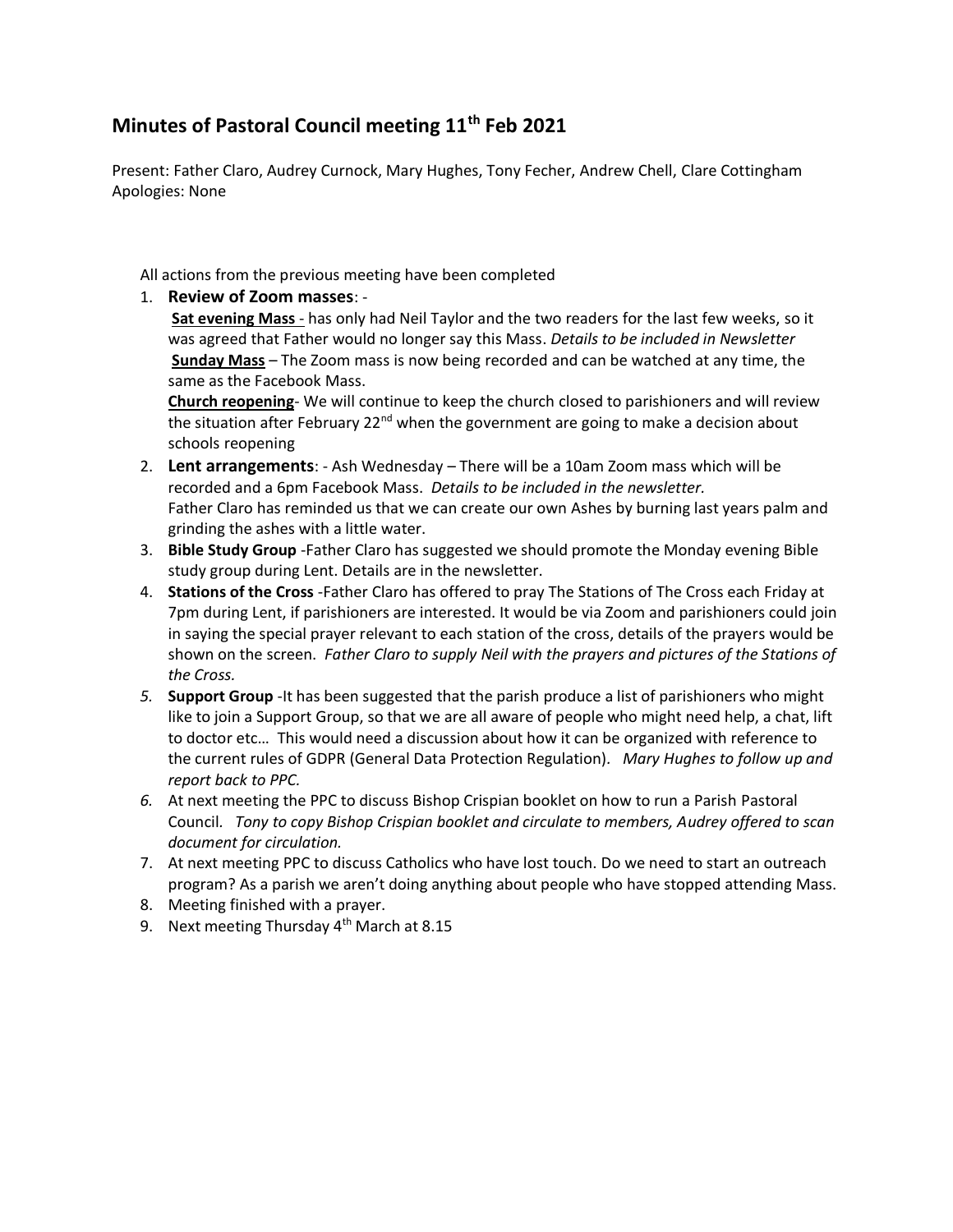## **Minutes of Pastoral Council meeting 11th Feb 2021**

Present: Father Claro, Audrey Curnock, Mary Hughes, Tony Fecher, Andrew Chell, Clare Cottingham Apologies: None

All actions from the previous meeting have been completed

## 1. **Review of Zoom masses**: -

**Sat evening Mass** - has only had Neil Taylor and the two readers for the last few weeks, so it was agreed that Father would no longer say this Mass. *Details to be included in Newsletter* **Sunday Mass** – The Zoom mass is now being recorded and can be watched at any time, the same as the Facebook Mass.

**Church reopening**- We will continue to keep the church closed to parishioners and will review the situation after February 22<sup>nd</sup> when the government are going to make a decision about schools reopening

- 2. **Lent arrangements**: Ash Wednesday There will be a 10am Zoom mass which will be recorded and a 6pm Facebook Mass. *Details to be included in the newsletter.*  Father Claro has reminded us that we can create our own Ashes by burning last years palm and grinding the ashes with a little water.
- 3. **Bible Study Group** -Father Claro has suggested we should promote the Monday evening Bible study group during Lent. Details are in the newsletter.
- 4. **Stations of the Cross** -Father Claro has offered to pray The Stations of The Cross each Friday at 7pm during Lent, if parishioners are interested. It would be via Zoom and parishioners could join in saying the special prayer relevant to each station of the cross, details of the prayers would be shown on the screen. *Father Claro to supply Neil with the prayers and pictures of the Stations of the Cross.*
- *5.* **Support Group** -It has been suggested that the parish produce a list of parishioners who might like to join a Support Group, so that we are all aware of people who might need help, a chat, lift to doctor etc… This would need a discussion about how it can be organized with reference to the current rules of GDPR (General Data Protection Regulation)*. Mary Hughes to follow up and report back to PPC.*
- *6.* At next meeting the PPC to discuss Bishop Crispian booklet on how to run a Parish Pastoral Council*. Tony to copy Bishop Crispian booklet and circulate to members, Audrey offered to scan document for circulation.*
- 7. At next meeting PPC to discuss Catholics who have lost touch. Do we need to start an outreach program? As a parish we aren't doing anything about people who have stopped attending Mass.
- 8. Meeting finished with a prayer.
- 9. Next meeting Thursday  $4<sup>th</sup>$  March at 8.15